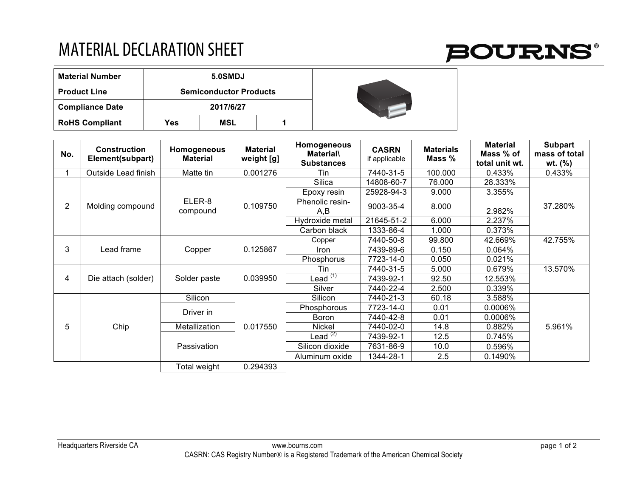## MATERIAL DECLARATION SHEET

| <b>Material Number</b> | 5.0SMDJ                       |     |  |  |  |  |
|------------------------|-------------------------------|-----|--|--|--|--|
| <b>Product Line</b>    | <b>Semiconductor Products</b> |     |  |  |  |  |
| <b>Compliance Date</b> | 2017/6/27                     |     |  |  |  |  |
| <b>RoHS Compliant</b>  | Yes                           | MSL |  |  |  |  |

| No.            | <b>Construction</b><br>Element(subpart) | Homogeneous<br><b>Material</b> | <b>Material</b><br>weight [g] | Homogeneous<br><b>Material\</b>  | <b>CASRN</b><br>if applicable | <b>Materials</b><br>Mass % | <b>Material</b><br>Mass % of | <b>Subpart</b><br>mass of total |
|----------------|-----------------------------------------|--------------------------------|-------------------------------|----------------------------------|-------------------------------|----------------------------|------------------------------|---------------------------------|
|                |                                         |                                |                               | <b>Substances</b>                |                               |                            | total unit wt.               | wt. $(\% )$                     |
|                | Outside Lead finish                     | Matte tin                      | 0.001276                      | Tin                              | 7440-31-5                     | 100.000                    | 0.433%                       | 0.433%                          |
| $\overline{2}$ | Molding compound                        | ELER-8<br>compound             | 0.109750                      | Silica                           | 14808-60-7                    | 76.000                     | 28.333%                      | 37.280%                         |
|                |                                         |                                |                               | Epoxy resin                      | 25928-94-3                    | 9.000                      | 3.355%                       |                                 |
|                |                                         |                                |                               | Phenolic resin-<br>A,B           | 9003-35-4                     | 8.000                      | 2.982%                       |                                 |
|                |                                         |                                |                               | Hydroxide metal                  | 21645-51-2                    | 6.000                      | 2.237%                       |                                 |
|                |                                         |                                |                               | Carbon black                     | 1333-86-4                     | 1.000                      | 0.373%                       |                                 |
| 3              | Lead frame                              | Copper                         | 0.125867                      | Copper                           | 7440-50-8                     | 99.800                     | 42.669%                      | 42.755%                         |
|                |                                         |                                |                               | <b>Iron</b>                      | 7439-89-6                     | 0.150                      | 0.064%                       |                                 |
|                |                                         |                                |                               | Phosphorus                       | 7723-14-0                     | 0.050                      | 0.021%                       |                                 |
| 4              | Die attach (solder)                     | Solder paste                   | 0.039950                      | Tin                              | 7440-31-5                     | 5.000                      | 0.679%                       | 13.570%                         |
|                |                                         |                                |                               | Lead $^{(1)}$                    | 7439-92-1                     | 92.50                      | 12.553%                      |                                 |
|                |                                         |                                |                               | Silver                           | 7440-22-4                     | 2.500                      | 0.339%                       |                                 |
| 5              | Chip                                    | Silicon                        | 0.017550                      | Silicon                          | 7440-21-3                     | 60.18                      | 3.588%                       | 5.961%                          |
|                |                                         | Driver in                      |                               | Phosphorous                      | 7723-14-0                     | 0.01                       | 0.0006%                      |                                 |
|                |                                         |                                |                               | <b>Boron</b>                     | 7440-42-8                     | 0.01                       | $0.0006\%$                   |                                 |
|                |                                         | Metallization                  |                               | Nickel                           | 7440-02-0                     | 14.8                       | 0.882%                       |                                 |
|                |                                         | Passivation                    |                               | Lead <sup><math>(2)</math></sup> | 7439-92-1                     | 12.5                       | 0.745%                       |                                 |
|                |                                         |                                |                               | Silicon dioxide                  | 7631-86-9                     | 10.0                       | 0.596%                       |                                 |
|                |                                         |                                |                               | Aluminum oxide                   | 1344-28-1                     | 2.5                        | 0.1490%                      |                                 |
|                |                                         | Total weight                   | 0.294393                      |                                  |                               |                            |                              |                                 |

## **BOURNS®**